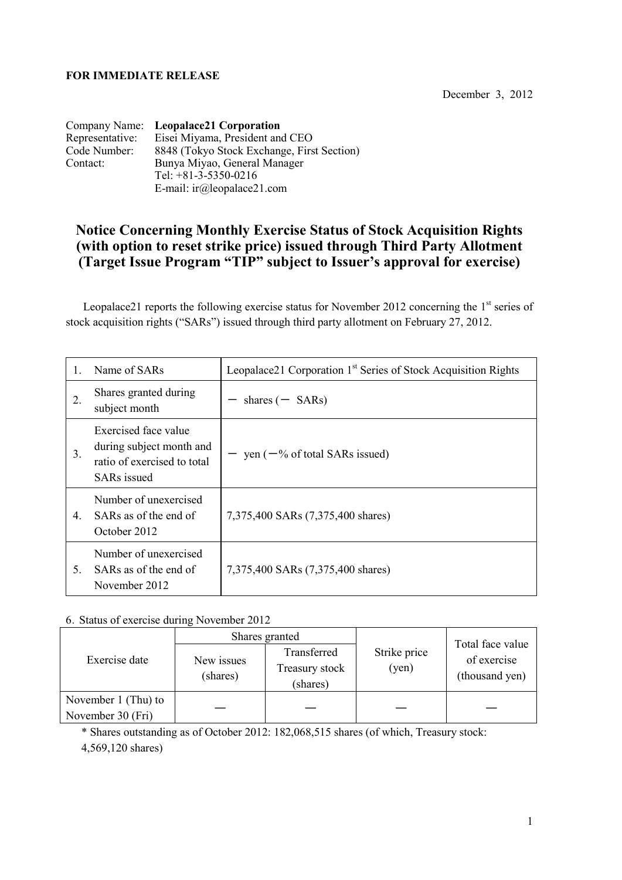## **FOR IMMEDIATE RELEASE**

December 3, 2012

|                 | Company Name: Leopalace21 Corporation      |
|-----------------|--------------------------------------------|
| Representative: | Eisei Miyama, President and CEO            |
| Code Number:    | 8848 (Tokyo Stock Exchange, First Section) |
| Contact:        | Bunya Miyao, General Manager               |
|                 | Tel: $+81-3-5350-0216$                     |
|                 | E-mail: $ir(\omega)$ leopalace21.com       |

## **Notice Concerning Monthly Exercise Status of Stock Acquisition Rights (with option to reset strike price) issued through Third Party Allotment (Target Issue Program "TIP" subject to Issuer's approval for exercise)**

Leopalace21 reports the following exercise status for November 2012 concerning the  $1<sup>st</sup>$  series of stock acquisition rights ("SARs") issued through third party allotment on February 27, 2012.

|    | Name of SARs                                                                                          | Leopalace21 Corporation 1 <sup>st</sup> Series of Stock Acquisition Rights |  |
|----|-------------------------------------------------------------------------------------------------------|----------------------------------------------------------------------------|--|
| 2. | Shares granted during<br>subject month                                                                | shares $($ – SARs)                                                         |  |
| 3. | Exercised face value<br>during subject month and<br>ratio of exercised to total<br><b>SARs</b> issued | $-$ yen ( $-\%$ of total SARs issued)                                      |  |
| 4. | Number of unexercised<br>SARs as of the end of<br>October 2012                                        | 7,375,400 SARs (7,375,400 shares)                                          |  |
| 5. | Number of unexercised<br>SARs as of the end of<br>November 2012                                       | 7,375,400 SARs (7,375,400 shares)                                          |  |

## 6.Status of exercise during November 2012

| Exercise date                            | Shares granted         |                                           |                       |                                                   |
|------------------------------------------|------------------------|-------------------------------------------|-----------------------|---------------------------------------------------|
|                                          | New issues<br>(shares) | Transferred<br>Treasury stock<br>(shares) | Strike price<br>(yen) | Total face value<br>of exercise<br>(thousand yen) |
| November 1 (Thu) to<br>November 30 (Fri) |                        |                                           |                       |                                                   |

\* Shares outstanding as of October 2012: 182,068,515 shares (of which, Treasury stock: 4,569,120 shares)